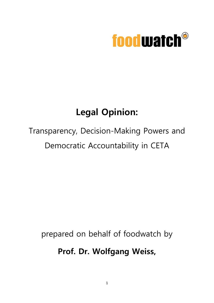

### **Legal Opinion:**

## Transparency, Decision-Making Powers and Democratic Accountability in CETA

prepared on behalf of foodwatch by

**Prof. Dr. Wolfgang Weiss,**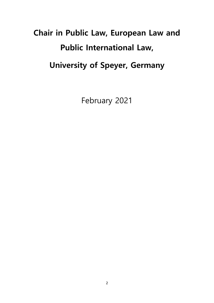# **Chair in Public Law, European Law and Public International Law, University of Speyer, Germany**

February 2021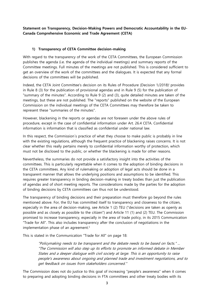**Statement on Transparency, Decision-Making Powers and Democratic Accountability in the EU-Canada Comprehensive Economic and Trade Agreement (CETA)**

#### **1) Transparency of CETA Committee decision-making**

With regard to the transparency of the work of the CETA Committees, the European Commission publishes the agenda (i.e. the agenda of the individual meetings) and summary reports of the Committee meetings. Full minutes of the meetings are not published. This is considered sufficient to get an overview of the work of the committees and the dialogues. It is expected that any formal decisions of the committees will be published.

Indeed, the CETA Joint Committee's decision on its Rules of Procedure (Decision 1/2018)<sup>i</sup> provides in Rule 8 (3) for the publication of provisional agendas and in Rule 9 (5) for the publication of "summary of the minutes". According to Rule 9 (2) and (3), quite detailed minutes are taken of the meetings, but these are not published. The "reports" published on the website of the European Commission on the individual meetings of the CETA Committees may therefore be taken to represent these "summaries of the minutes".

However, blackening in the reports or agendas are not foreseen under the above rules of procedure, except in the case of confidential information under Art. 26.4 CETA. Confidential information is information that is classified as confidential under national law.

In this respect, the Commission´s practice of what they choose to make public is probably in line with the existing regulations, although the frequent practice of blackening raises concerns. It is not clear whether this really pertains merely to confidential information worthy of protection, which must not be disclosed to the public, or whether the blackening is made for other reasons.

Nevertheless, the summaries do not provide a satisfactory insight into the activities of the committees. This is particularly regrettable when it comes to the adoption of binding decisions in the CETA committees. Any kind of rulemaking or adoption of legal acts should be done in a transparent manner that allows the underlying positions and assumptions to be identified. This requires greater transparency in binding decision-making in treaty bodies than just the publication of agendas and of short meeting reports. The considerations made by the parties for the adoption of binding decisions by CETA committees can thus not be understood.

The transparency of binding decisions and their preparation must therefore go beyond the rules mentioned above. For, the EU has committed itself to transparency and closeness to the citizen, especially in the area of decision-making, see Article 1 (2) TEU ("decisions are taken as openly as possible and as closely as possible to the citizen") and Article 11 (1) and (2) TEU. The Commission promised to increase transparency, especially in the area of trade policy, in its 2015 Communication "Trade for All". This also includes transparency after the conclusion of negotiations in the implementation phase of an agreement.<sup>ii</sup>

This is stated in the Communication "Trade for All" on page 18:

"Policymaking needs to be transparent and the debate needs to be based on facts." ... "The Commission will also step up its efforts to promote an informed debate in Member States and a deeper dialogue with civil society at large. This is an opportunity to raise people's awareness about ongoing and planned trade and investment negotiations, and to get feedback on issues from stakeholders concerned."

The Commission does not do justice to this goal of increasing "people's awareness" when it comes to preparing and adopting binding decisions in FTA committees and other treaty bodies with its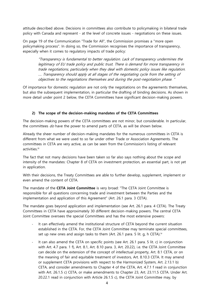attitude described above. Decisions in committees also contribute to policymaking in bilateral trade policy with Canada and represent - at the level of concrete issues - negotiations on these issues.

On page 19 of the Communication "Trade for All", the Commission promises a "more open policymaking process". In doing so, the Commission recognises the importance of transparency, especially when it comes to regulatory impacts of trade policy:

"Transparency is fundamental to better regulation. Lack of transparency undermines the legitimacy of EU trade policy and public trust. There is demand for more transparency in trade negotiations, particularly when they deal with domestic policy issues like regulation. …. Transparency should apply at all stages of the negotiating cycle from the setting of objectives to the negotiations themselves and during the post-negotiation phase. "

Of importance for domestic regulation are not only the negotiations on the agreements themselves, but also the subsequent implementation, in particular the drafting of binding decisions. As shown in more detail under point 2 below, the CETA Committees have significant decision-making powers.

#### **2) The scope of the decision-making mandates of the CETA Committees**

The decision-making powers of the CETA committees are not minor, but considerable. In particular, the committees  $d\sigma$  have the power to amend parts of CETA, as will be shown below.

Already the sheer number of decision-making mandates for the numerous committees in CETA is different from what we were used to so far under other Trade or Association Agreements. The committees in CETA are very active, as can be seen from the Commission's listing of relevant activities.<sup>iii</sup>

The fact that not many decisions have been taken so far also says nothing about the scope and intensity of the mandates: Chapter 8 of CETA on investment protection, an essential part, is not yet in application.

With their decisions, the Treaty Committees are able to further develop, supplement, implement or even amend the content of CETA.

The mandate of the **CETA Joint Committee** is very broad: "The CETA Joint Committee is responsible for all questions concerning trade and investment between the Parties and the implementation and application of this Agreement" (Art. 26.1 para. 3 CETA).

The mandate goes beyond application and implementation (see Art. 26.1 para. 4 CETA). The Treaty Committees in CETA have approximately 30 different decision-making powers. The central CETA Joint Committee oversees the special Committees and has the most extensive powers:

- It can effectively amend the institutional structure of CETA beyond the current situation established in the CETA. For, the CETA Joint Committee may terminate special committees, set up new ones and assign tasks to them (Art. 26.1 para. 5 lit. g, h CETA).<sup>iv</sup>
- It can also amend the CETA on specific points (see Art. 26.1 para. 5 lit. c) in conjunction with Art. 4.7 para. 1 f), Art. 8.1, Art. 8.10 para. 3, Art. 20.22), i.e. the CETA Joint Committee can decide on the extension of the concept of intellectual property, Art. 8.1 CETA, or on the meaning of fair and equitable treatment of investors, Art. 8.10.3 CETA. It may amend or supplement CETA provisions with respect to the Harmonized System, Art. 2.13.1 b) CETA, and consider amendments to Chapter 4 of the CETA, Art. 4.7.1 f read in conjunction with Art. 26.1.5 c) CETA, or make amendments to Chapter 23, Art. 23.11.5 CETA. Under Art. 20.22.1 read in conjunction with Article 26.1.5 c), the CETA Joint Committee may, by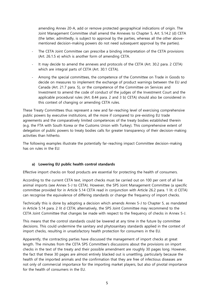amending Annex 20-A, add or remove protected geographical indications of origin. The Joint Management Committee shall amend the Annexes to Chapter 5, Art. 5.14.2 (d) CETA (the latter, admittedly, is subject to approval by the parties, whereas all the other abovementioned decision-making powers do not need subsequent approval by the parties).

- The CETA Joint Committee can prescribe a binding interpretation of the CETA provisions (Art. 26.1.5 e) which is another form of amending CETA.
- It may decide to amend the annexes and protocols of the CETA (Art. 30.2 para. 2 CETA) which are integral parts of CETA (Art. 30.1 CETA).
- Among the special committees, the competence of the Committee on Trade in Goods to decide on measures to implement the exchange of product warnings between the EU and Canada (Art. 21.7 para. 5), or the competence of the Committee on Services and Investment to amend the code of conduct of the judges of the Investment Court and the applicable procedural rules (Art. 8.44 para. 2 and 3 b) CETA) should also be considered in this context of changing or amending CETA rules.

These Treaty Committees thus represent a new and far-reaching level of exercising comprehensive public powers by executive institutions, all the more if compared to pre-existing EU trade agreements and the comparatively limited competences of the treaty bodies established therein (e.g. the FTA with South Korea or the Customs Union with Turkey). This comprehensive extent of delegation of public powers to treaty bodies calls for greater transparency of their decision-making activities than hitherto.

The following examples illustrate the potentially far-reaching impact Committee decision-making has on rules in the EU:

#### **a) Lowering EU public health control standards**

Effective import checks on food products are essential for protecting the health of consumers.

According to the current CETA text, import checks must be carried out on 100 per cent of all live animal imports (see Annex 5-J to CETA). However, the SPS Joint Management Committee (a specific committee provided for in Article 5.14 CETA read in conjunction with Article 26.2 para. 1 lit. d CETA) can recognise the equivalence of differing standards or change the frequency of import checks.

Technically this is done by adopting a decision which amends Annex 5-J to Chapter 5, as mandated in Article 5.14 para. 2 lit d CETA; alternatively, the SPS Joint Committee may recommend to the CETA Joint Committee that changes be made with respect to the frequency of checks in Annex 5-J.

This means that the control standards could be lowered at any time in the future by committee decisions. This could undermine the sanitary and phytosanitary standards applied in the context of import checks, resulting in unsatisfactory health protection for consumers in the EU.

Apparently, the contracting parties have discussed the management of import checks at great length. The minutes from the CETA SPS Committee's discussions about the provisions on import checks in the text of the treaty and their possible amendment are roughly 30 pages long. However, the fact that these 30 pages are almost entirely blacked out is unsettling, particularly because the health of the imported animals and the confirmation that they are free of infectious diseases are not only of commercial importance for the importing market players, but also of pivotal importance for the health of consumers in the EU.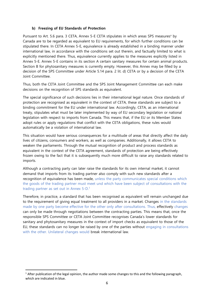#### **b) Freezing of EU Standards of Protection**

Pursuant to Art. 5.6 para. 3 CETA, Annex 5-E CETA stipulates in which areas SPS measures<sup> $v$ </sup> by Canada are to be regarded as equivalent to EU requirements, for which further conditions can be stipulated there. In CETA Annex 5-E, equivalence is already established in a binding manner under international law, in accordance with the conditions set out therein, and factually limited to what is explicitly mentioned there. Thus, equivalence currently applies to the measures explicitly listed in Annex 5-E. Annex 5-E contains in its section A certain sanitary measures for certain animal products. Section B for phytosanitary measures is currently empty. However, this Annex may be filled by a decision of the SPS Committee under Article 5.14 para. 2 lit. d) CETA or by a decision of the CETA Joint Committee.

Thus, both the CETA Joint Committee and the SPS Joint Management Committee can each make decisions on the recognition of SPS standards as equivalent.

The special significance of such decisions lies in their international legal nature. Once standards of protection are recognised as equivalent in the context of CETA, these standards are subject to a binding commitment for the EU under international law. Accordingly, CETA, as an international treaty, stipulates what must be later implemented by way of EU secondary legislation or national legislation with respect to imports from Canada. This means that, if the EU or its Member States adopt rules or apply regulations that conflict with the CETA obligations, these rules would automatically be a violation of international law.

This situation would have serious consequences for a multitude of areas that directly affect the daily lives of citizens, consumers and workers, as well as companies. Additionally, it allows CETA to weaken the parliaments. Through the mutual recognition of product and process standards as equivalent in the context of the CETA agreement, standards of protection are being effectively frozen owing to the fact that it is subsequently much more difficult to raise any standards related to imports.

Although a contracting party can later raise the standards for its own internal market, it cannot demand that imports from its trading partner also comply with such new standards after a recognition of equivalence has been made, unless the party communicates special conditions which the goods of the trading partner must meet und which have been subject of consultations with the trading partner as set out in Annex  $5-D$ .<sup>1</sup>

Therefore, in practice, a standard that has been recognised as equivalent will remain unchanged due to the requirement of giving equal treatment to all providers in a market. Changes in the standards made by one party become effective for the other only after consultations. Thus, effectively changes can only be made through negotiations between the contracting parties. This means that, once the responsible SPS Committee or CETA Joint Committee recognises Canada's lower standards for sanitary and phytosanitary measures in the context of import checks as equivalent to those of the EU, these standards can no longer be raised by one of the parties without engaging in consultations with the other. Unilateral changes would break international law.

1

 $1$  After publication of the legal opinion, the author made some changes to this and the following paragraph, which are indicated in blue.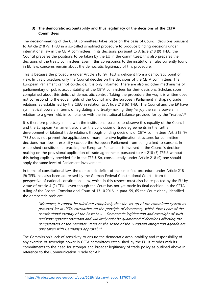#### **3) The democratic accountability and thus legitimacy of the decisions of the CETA Committees**

The decision-making of the CETA committees takes place on the basis of Council decisions pursuant to Article 218 (9) TFEU in a so-called simplified procedure to produce binding decisions under international law in the CETA committees. In its decisions pursuant to Article 218 (9) TFEU, the Council prepares the positions to be taken by the EU in the committees; this also prepares the decisions of the treaty committees. Even if this corresponds to the institutional rules currently found in EU law, concerns remain about the democratic legitimacy of this procedure.

This is because the procedure under Article 218 (9) TFEU is deficient from a democratic point of view. In this procedure, only the Council decides on the decisions of the CETA committees. The European Parliament cannot co-decide; it is only informed. There are also no other mechanisms of parliamentary or public accountability of the CETA committees for their decisions. Scholars soon complained about this deficit of democratic control. Taking the procedure the way it is written does not correspond to the equal rights of the Council and the European Parliament in shaping trade relations, as established by the CJEU in relation to Article 218 (6) TFEU. The Council and the EP have symmetrical powers in terms of legislating and treaty-making; they "enjoy the same powers in relation to a given field, in compliance with the institutional balance provided for by the Treaties". $vi$ 

It is therefore precisely in line with the institutional balance to observe this equality of the Council and the European Parliament also after the conclusion of trade agreements in the further development of bilateral trade relations through binding decisions of CETA committees; Art. 218 (9) TFEU does not prevent the application of more intensive legitimation structures for committee decisions, nor does it explicitly exclude the European Parliament from being asked to consent. In established constitutional practice, the European Parliament is involved in the Council's decisionmaking on the provisional application of trade agreements pursuant to Art 218 (5) TFEU, without this being explicitly provided for in the TFEU. So, consequently, under Article 218 (9) one should apply the same level of Parliament involvement.

In terms of constitutional law, the democratic deficit of the simplified procedure under Article 218 (9) TFEU has also been addressed by the German Federal Constitutional Court - from the perspective of national constitutional law, which in this respect must also be respected by the EU by virtue of Article 4 (2) TEU - even though the Court has not yet made its final decision. In the CETA ruling of the Federal Constitutional Court of 13.10.2016, in para. 59, 65 the Court clearly identified the democratic problem:

"Moreover, it cannot be ruled out completely that the set-up of the committee system as provided for in CETA encroaches on the principle of democracy, which forms part of the constitutional identity of the Basic Law. .. Democratic legitimation and oversight of such decisions appears uncertain and will likely only be guaranteed if decisions affecting the competences of the Member States or the scope of the European integration agenda are only taken with Germany's approval." vii

The Commission's lack of sensitivity to ensure the democratic accountability and responsibility of any exercise of sovereign power in CETA committees established by the EU is at odds with its commitments to the need for stronger and broader legitimacy of trade policy as outlined above in reference to the Communication "Trade for All".

**.** 

<sup>i</sup> [https://trade.ec.europa.eu/doclib/docs/2019/february/tradoc\\_157677.pdf](https://trade.ec.europa.eu/doclib/docs/2019/february/tradoc_157677.pdf)